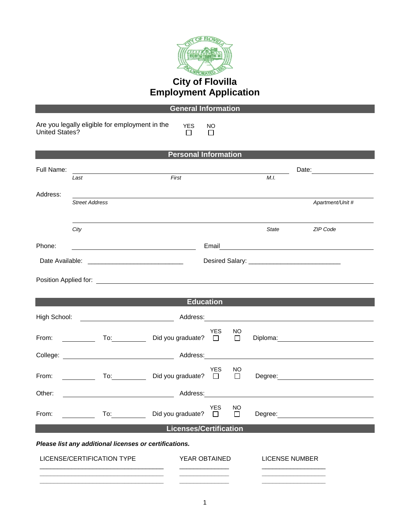

|                                                                                                |                                                                                                                                                                                                                                      | <b>General Information</b>   |                       |               |         |                                                                                                                                                                                                                                      |  |
|------------------------------------------------------------------------------------------------|--------------------------------------------------------------------------------------------------------------------------------------------------------------------------------------------------------------------------------------|------------------------------|-----------------------|---------------|---------|--------------------------------------------------------------------------------------------------------------------------------------------------------------------------------------------------------------------------------------|--|
| Are you legally eligible for employment in the<br><b>United States?</b>                        |                                                                                                                                                                                                                                      | <b>YES</b><br>$\mathbb{R}^n$ | NO.<br>П              |               |         |                                                                                                                                                                                                                                      |  |
| <b>Personal Information</b>                                                                    |                                                                                                                                                                                                                                      |                              |                       |               |         |                                                                                                                                                                                                                                      |  |
| Full Name:                                                                                     |                                                                                                                                                                                                                                      |                              |                       |               |         |                                                                                                                                                                                                                                      |  |
|                                                                                                | Last                                                                                                                                                                                                                                 | First                        |                       |               | M.I.    |                                                                                                                                                                                                                                      |  |
| Address:                                                                                       | ,我们也不会有什么。""我们的人,我们也不会有什么?""我们的人,我们也不会有什么?""我们的人,我们也不会有什么?""我们的人,我们也不会有什么?""我们的人<br><b>Street Address</b>                                                                                                                            |                              |                       |               |         | Apartment/Unit #                                                                                                                                                                                                                     |  |
|                                                                                                | City                                                                                                                                                                                                                                 |                              |                       |               | State   | ZIP Code                                                                                                                                                                                                                             |  |
| Phone:                                                                                         |                                                                                                                                                                                                                                      |                              |                       |               |         | Email <b>Exercise Contract Contract Contract Contract Contract Contract Contract Contract Contract Contract Contract Contract Contract Contract Contract Contract Contract Contract Contract Contract Contract Contract Contract</b> |  |
|                                                                                                |                                                                                                                                                                                                                                      |                              |                       |               |         |                                                                                                                                                                                                                                      |  |
|                                                                                                | Position Applied for: <u>Community Community of the Community of the Community of the Community of the Community of the Community of the Community of the Community of the Community of the Community of the Community of the Co</u> |                              |                       |               |         |                                                                                                                                                                                                                                      |  |
|                                                                                                |                                                                                                                                                                                                                                      |                              |                       |               |         |                                                                                                                                                                                                                                      |  |
|                                                                                                |                                                                                                                                                                                                                                      | <b>Education</b>             |                       |               |         |                                                                                                                                                                                                                                      |  |
| High School:                                                                                   |                                                                                                                                                                                                                                      |                              |                       |               |         |                                                                                                                                                                                                                                      |  |
| From: $\frac{1}{\sqrt{1-\frac{1}{2}}}\frac{1}{\sqrt{1-\frac{1}{2}}\left(1-\frac{1}{2}\right)}$ | To: Did you graduate? □                                                                                                                                                                                                              |                              | <b>YES</b>            | NO.<br>$\Box$ |         | Diploma: 2000 Company Company Company Company Company Company Company Company Company Company Company Company Company Company Company Company Company Company Company Company Company Company Company Company Company Company        |  |
|                                                                                                |                                                                                                                                                                                                                                      |                              |                       |               |         |                                                                                                                                                                                                                                      |  |
| From:                                                                                          | To: the contract of the contract of the contract of the contract of the contract of the contract of the contract of the contract of the contract of the contract of the contract of the contract of the contract of the contra       | Did you graduate? $\square$  | <b>YES</b>            | NO.<br>$\Box$ |         |                                                                                                                                                                                                                                      |  |
| Other:                                                                                         |                                                                                                                                                                                                                                      | Address:                     |                       |               |         | <u> 1989 - Andrea Andrew Maria (h. 1989).</u>                                                                                                                                                                                        |  |
| From:                                                                                          | To: the contract of the contract of the contract of the contract of the contract of the contract of the contract of the contract of the contract of the contract of the contract of the contract of the contract of the contra       | Did you graduate?            | <b>YES</b><br>$\perp$ | NO<br>$\Box$  | Degree: |                                                                                                                                                                                                                                      |  |
| <b>Licenses/Certification</b>                                                                  |                                                                                                                                                                                                                                      |                              |                       |               |         |                                                                                                                                                                                                                                      |  |
| Please list any additional licenses or certifications.                                         |                                                                                                                                                                                                                                      |                              |                       |               |         |                                                                                                                                                                                                                                      |  |
| LICENSE/CERTIFICATION TYPE                                                                     |                                                                                                                                                                                                                                      |                              | YEAR OBTAINED         |               |         | <b>LICENSE NUMBER</b>                                                                                                                                                                                                                |  |

**\_\_\_\_\_\_\_\_\_\_\_\_\_\_\_\_\_\_\_\_\_\_\_\_\_\_\_\_\_\_\_\_\_\_\_ \_\_\_\_\_\_\_\_\_\_\_\_\_\_ \_\_\_\_\_\_\_\_\_\_\_\_\_\_\_\_\_\_**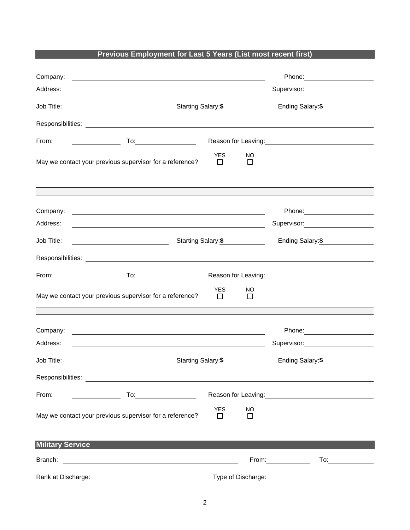## **Previous Employment for Last 5 Years (List most recent first)**

| Company:<br>Address:    | <u> 1989 - Johann Stein, marwolaethau a bhann an t-Amhain ann an t-Amhain an t-Amhain an t-Amhain an t-Amhain an </u>  |                                                               |                    | Supervisor: <u>____________________</u>                                                                                                                                                                                                |
|-------------------------|------------------------------------------------------------------------------------------------------------------------|---------------------------------------------------------------|--------------------|----------------------------------------------------------------------------------------------------------------------------------------------------------------------------------------------------------------------------------------|
| Job Title:              | <u> 1989 - Johann Barnett, fransk politik (</u>                                                                        | Starting Salary: \$                                           | Ending Salary: \$  |                                                                                                                                                                                                                                        |
|                         |                                                                                                                        |                                                               |                    |                                                                                                                                                                                                                                        |
| From:                   |                                                                                                                        |                                                               |                    | Reason for Leaving:<br><u>Example 2008</u>                                                                                                                                                                                             |
|                         | May we contact your previous supervisor for a reference?                                                               | <b>YES</b>                                                    | NO.<br>П           |                                                                                                                                                                                                                                        |
|                         |                                                                                                                        |                                                               |                    |                                                                                                                                                                                                                                        |
| Company:<br>Address:    | <u> 1989 - Johann Barn, amerikan besteman besteman besteman besteman besteman besteman besteman besteman besteman</u>  |                                                               |                    | Supervisor: Victor Contract Contract Contract Contract Contract Contract Contract Contract Contract Contract Co                                                                                                                        |
| Job Title:              |                                                                                                                        | Starting Salary:\$                                            | Ending Salary:\$   |                                                                                                                                                                                                                                        |
|                         |                                                                                                                        |                                                               |                    |                                                                                                                                                                                                                                        |
| From:                   |                                                                                                                        |                                                               |                    | Reason for Leaving:<br><u>Next and the manufacture of the set of the set of the set of the set of the set of the set of the set of the set of the set of the set of the set of the set of the set of the set of the set of the set</u> |
|                         | May we contact your previous supervisor for a reference?                                                               | <b>YES</b><br>$\Box$                                          | NO<br>$\Box$       |                                                                                                                                                                                                                                        |
| Company:                | <u> 1989 - Johann Barn, mars ann an t-Amhain ann an t-Amhain ann an t-Amhain ann an t-Amhain an t-Amhain ann an t-</u> |                                                               |                    |                                                                                                                                                                                                                                        |
| Address:                | <u> 1989 - Johann Stoff, deutscher Stoffen und der Stoffen und der Stoffen und der Stoffen und der Stoffen und der</u> |                                                               |                    | Supervisor: National Assembly Properties                                                                                                                                                                                               |
| Job Title:              | Starting Salary: \$<br><u> 1980 - Johann Barbara, martin a</u>                                                         |                                                               |                    | Ending Salary: \$                                                                                                                                                                                                                      |
|                         |                                                                                                                        |                                                               |                    |                                                                                                                                                                                                                                        |
| From:                   |                                                                                                                        | Reason for Leaving: Management Control of Reason for Leaving: |                    |                                                                                                                                                                                                                                        |
|                         | May we contact your previous supervisor for a reference?                                                               | <b>YES</b><br>$\mathbf{1}$                                    | NO<br>П            |                                                                                                                                                                                                                                        |
| <b>Military Service</b> |                                                                                                                        |                                                               |                    |                                                                                                                                                                                                                                        |
|                         |                                                                                                                        |                                                               |                    | From:<br>To: $\qquad \qquad$                                                                                                                                                                                                           |
|                         | Rank at Discharge:                                                                                                     |                                                               | Type of Discharge: |                                                                                                                                                                                                                                        |